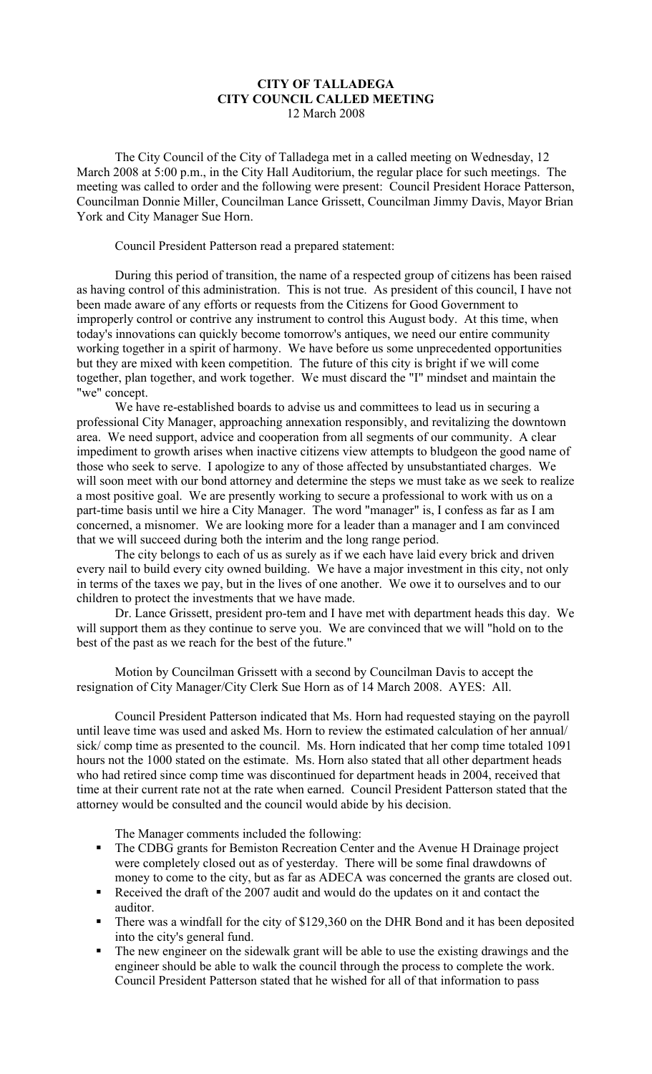## **CITY OF TALLADEGA CITY COUNCIL CALLED MEETING** 12 March 2008

The City Council of the City of Talladega met in a called meeting on Wednesday, 12 March 2008 at 5:00 p.m., in the City Hall Auditorium, the regular place for such meetings. The meeting was called to order and the following were present: Council President Horace Patterson, Councilman Donnie Miller, Councilman Lance Grissett, Councilman Jimmy Davis, Mayor Brian York and City Manager Sue Horn.

Council President Patterson read a prepared statement:

During this period of transition, the name of a respected group of citizens has been raised as having control of this administration. This is not true. As president of this council, I have not been made aware of any efforts or requests from the Citizens for Good Government to improperly control or contrive any instrument to control this August body. At this time, when today's innovations can quickly become tomorrow's antiques, we need our entire community working together in a spirit of harmony. We have before us some unprecedented opportunities but they are mixed with keen competition. The future of this city is bright if we will come together, plan together, and work together. We must discard the "I" mindset and maintain the "we" concept.

We have re-established boards to advise us and committees to lead us in securing a professional City Manager, approaching annexation responsibly, and revitalizing the downtown area. We need support, advice and cooperation from all segments of our community. A clear impediment to growth arises when inactive citizens view attempts to bludgeon the good name of those who seek to serve. I apologize to any of those affected by unsubstantiated charges. We will soon meet with our bond attorney and determine the steps we must take as we seek to realize a most positive goal. We are presently working to secure a professional to work with us on a part-time basis until we hire a City Manager. The word "manager" is, I confess as far as I am concerned, a misnomer. We are looking more for a leader than a manager and I am convinced that we will succeed during both the interim and the long range period.

The city belongs to each of us as surely as if we each have laid every brick and driven every nail to build every city owned building. We have a major investment in this city, not only in terms of the taxes we pay, but in the lives of one another. We owe it to ourselves and to our children to protect the investments that we have made.

Dr. Lance Grissett, president pro-tem and I have met with department heads this day. We will support them as they continue to serve you. We are convinced that we will "hold on to the best of the past as we reach for the best of the future."

Motion by Councilman Grissett with a second by Councilman Davis to accept the resignation of City Manager/City Clerk Sue Horn as of 14 March 2008. AYES: All.

Council President Patterson indicated that Ms. Horn had requested staying on the payroll until leave time was used and asked Ms. Horn to review the estimated calculation of her annual/ sick/ comp time as presented to the council. Ms. Horn indicated that her comp time totaled 1091 hours not the 1000 stated on the estimate. Ms. Horn also stated that all other department heads who had retired since comp time was discontinued for department heads in 2004, received that time at their current rate not at the rate when earned. Council President Patterson stated that the attorney would be consulted and the council would abide by his decision.

The Manager comments included the following:

- The CDBG grants for Bemiston Recreation Center and the Avenue H Drainage project were completely closed out as of yesterday. There will be some final drawdowns of money to come to the city, but as far as ADECA was concerned the grants are closed out.
- Received the draft of the 2007 audit and would do the updates on it and contact the auditor.
- There was a windfall for the city of \$129,360 on the DHR Bond and it has been deposited into the city's general fund.
- The new engineer on the sidewalk grant will be able to use the existing drawings and the engineer should be able to walk the council through the process to complete the work. Council President Patterson stated that he wished for all of that information to pass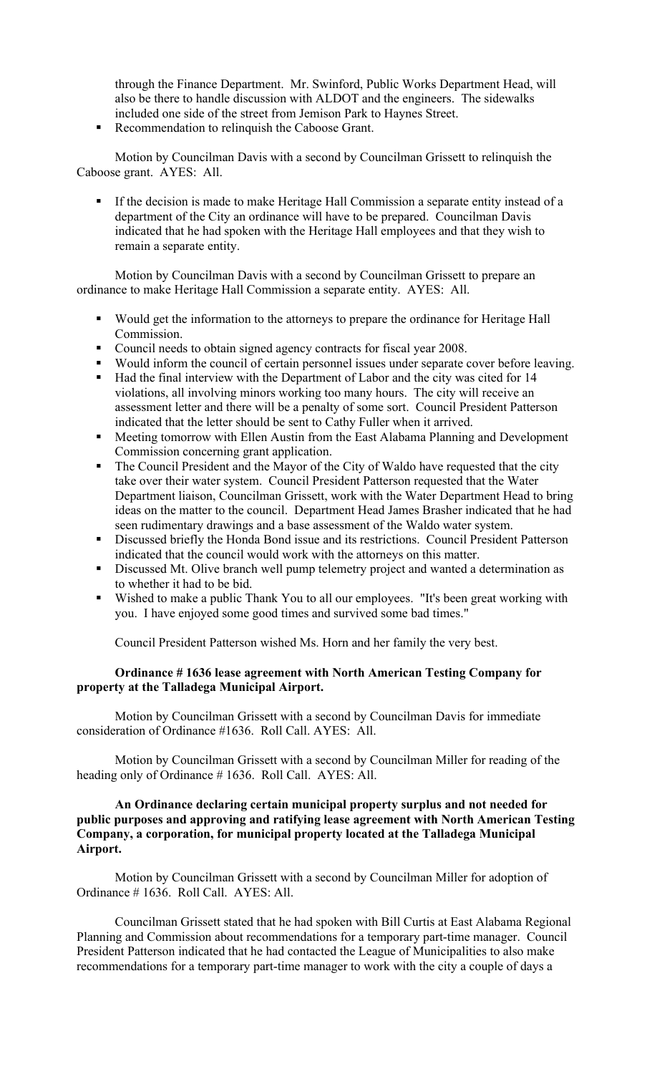through the Finance Department. Mr. Swinford, Public Works Department Head, will also be there to handle discussion with ALDOT and the engineers. The sidewalks included one side of the street from Jemison Park to Haynes Street.

Recommendation to relinquish the Caboose Grant.

Motion by Councilman Davis with a second by Councilman Grissett to relinquish the Caboose grant. AYES: All.

If the decision is made to make Heritage Hall Commission a separate entity instead of a department of the City an ordinance will have to be prepared. Councilman Davis indicated that he had spoken with the Heritage Hall employees and that they wish to remain a separate entity.

Motion by Councilman Davis with a second by Councilman Grissett to prepare an ordinance to make Heritage Hall Commission a separate entity. AYES: All.

- Would get the information to the attorneys to prepare the ordinance for Heritage Hall Commission.
- Council needs to obtain signed agency contracts for fiscal year 2008.
- Would inform the council of certain personnel issues under separate cover before leaving.
- Had the final interview with the Department of Labor and the city was cited for 14 violations, all involving minors working too many hours. The city will receive an assessment letter and there will be a penalty of some sort. Council President Patterson indicated that the letter should be sent to Cathy Fuller when it arrived.
- **Meeting tomorrow with Ellen Austin from the East Alabama Planning and Development** Commission concerning grant application.
- The Council President and the Mayor of the City of Waldo have requested that the city take over their water system. Council President Patterson requested that the Water Department liaison, Councilman Grissett, work with the Water Department Head to bring ideas on the matter to the council. Department Head James Brasher indicated that he had seen rudimentary drawings and a base assessment of the Waldo water system.
- Discussed briefly the Honda Bond issue and its restrictions. Council President Patterson indicated that the council would work with the attorneys on this matter.
- Discussed Mt. Olive branch well pump telemetry project and wanted a determination as to whether it had to be bid.
- Wished to make a public Thank You to all our employees. "It's been great working with you. I have enjoyed some good times and survived some bad times."

Council President Patterson wished Ms. Horn and her family the very best.

## **Ordinance # 1636 lease agreement with North American Testing Company for property at the Talladega Municipal Airport.**

Motion by Councilman Grissett with a second by Councilman Davis for immediate consideration of Ordinance #1636. Roll Call. AYES: All.

Motion by Councilman Grissett with a second by Councilman Miller for reading of the heading only of Ordinance #1636. Roll Call. AYES: All.

## **An Ordinance declaring certain municipal property surplus and not needed for public purposes and approving and ratifying lease agreement with North American Testing Company, a corporation, for municipal property located at the Talladega Municipal Airport.**

Motion by Councilman Grissett with a second by Councilman Miller for adoption of Ordinance # 1636. Roll Call. AYES: All.

Councilman Grissett stated that he had spoken with Bill Curtis at East Alabama Regional Planning and Commission about recommendations for a temporary part-time manager. Council President Patterson indicated that he had contacted the League of Municipalities to also make recommendations for a temporary part-time manager to work with the city a couple of days a